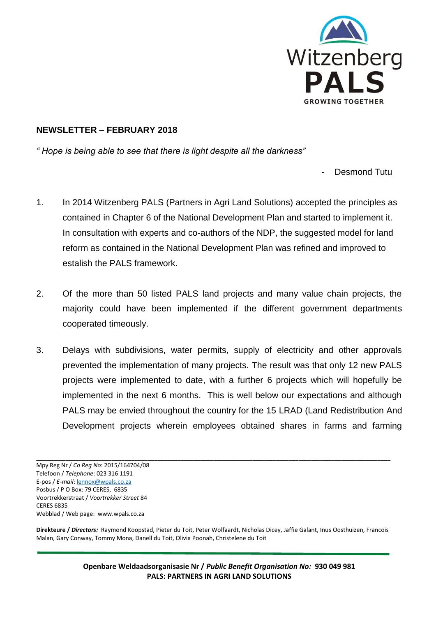

## **NEWSLETTER – FEBRUARY 2018**

*" Hope is being able to see that there is light despite all the darkness"* 

- Desmond Tutu

- 1. In 2014 Witzenberg PALS (Partners in Agri Land Solutions) accepted the principles as contained in Chapter 6 of the National Development Plan and started to implement it. In consultation with experts and co-authors of the NDP, the suggested model for land reform as contained in the National Development Plan was refined and improved to estalish the PALS framework.
- 2. Of the more than 50 listed PALS land projects and many value chain projects, the majority could have been implemented if the different government departments cooperated timeously.
- 3. Delays with subdivisions, water permits, supply of electricity and other approvals prevented the implementation of many projects. The result was that only 12 new PALS projects were implemented to date, with a further 6 projects which will hopefully be implemented in the next 6 months. This is well below our expectations and although PALS may be envied throughout the country for the 15 LRAD (Land Redistribution And Development projects wherein employees obtained shares in farms and farming

**Direkteure /** *Directors:* Raymond Koopstad, Pieter du Toit, Peter Wolfaardt, Nicholas Dicey, Jaffie Galant, Inus Oosthuizen, Francois Malan, Gary Conway, Tommy Mona, Danell du Toit, Olivia Poonah, Christelene du Toit

> **Openbare Weldaadsorganisasie Nr /** *Public Benefit Organisation No:* **930 049 981 PALS: PARTNERS IN AGRI LAND SOLUTIONS**

\_\_\_\_\_\_\_\_\_\_\_\_\_\_\_\_\_\_\_\_\_\_\_\_\_\_\_\_\_\_\_\_\_\_\_\_\_\_\_\_\_\_\_\_\_\_\_\_\_\_\_\_\_\_\_\_\_\_\_\_\_\_\_\_\_\_\_\_\_\_\_\_\_\_\_\_\_\_\_\_\_\_\_\_\_\_\_\_\_\_\_\_\_\_\_\_\_\_\_\_\_\_\_\_\_\_\_\_ Mpy Reg Nr / *Co Reg No*: 2015/164704/08 Telefoon / *Telephone*: 023 316 1191 E-pos / *E-mail*[: lennox@wpals.co.za](mailto:lennox@wpals.co.za) Posbus / P O Box: 79 CERES, 6835 Voortrekkerstraat / *Voortrekker Street* 84 CERES 6835 Webblad / Web page: www.wpals.co.za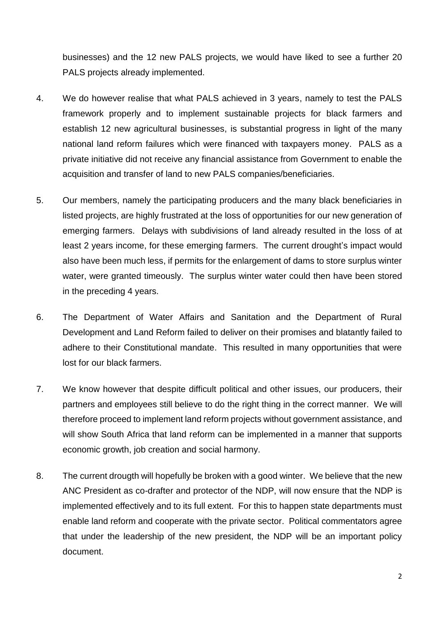businesses) and the 12 new PALS projects, we would have liked to see a further 20 PALS projects already implemented.

- 4. We do however realise that what PALS achieved in 3 years, namely to test the PALS framework properly and to implement sustainable projects for black farmers and establish 12 new agricultural businesses, is substantial progress in light of the many national land reform failures which were financed with taxpayers money. PALS as a private initiative did not receive any financial assistance from Government to enable the acquisition and transfer of land to new PALS companies/beneficiaries.
- 5. Our members, namely the participating producers and the many black beneficiaries in listed projects, are highly frustrated at the loss of opportunities for our new generation of emerging farmers. Delays with subdivisions of land already resulted in the loss of at least 2 years income, for these emerging farmers. The current drought's impact would also have been much less, if permits for the enlargement of dams to store surplus winter water, were granted timeously. The surplus winter water could then have been stored in the preceding 4 years.
- 6. The Department of Water Affairs and Sanitation and the Department of Rural Development and Land Reform failed to deliver on their promises and blatantly failed to adhere to their Constitutional mandate. This resulted in many opportunities that were lost for our black farmers.
- 7. We know however that despite difficult political and other issues, our producers, their partners and employees still believe to do the right thing in the correct manner. We will therefore proceed to implement land reform projects without government assistance, and will show South Africa that land reform can be implemented in a manner that supports economic growth, job creation and social harmony.
- 8. The current drougth will hopefully be broken with a good winter. We believe that the new ANC President as co-drafter and protector of the NDP, will now ensure that the NDP is implemented effectively and to its full extent. For this to happen state departments must enable land reform and cooperate with the private sector. Political commentators agree that under the leadership of the new president, the NDP will be an important policy document.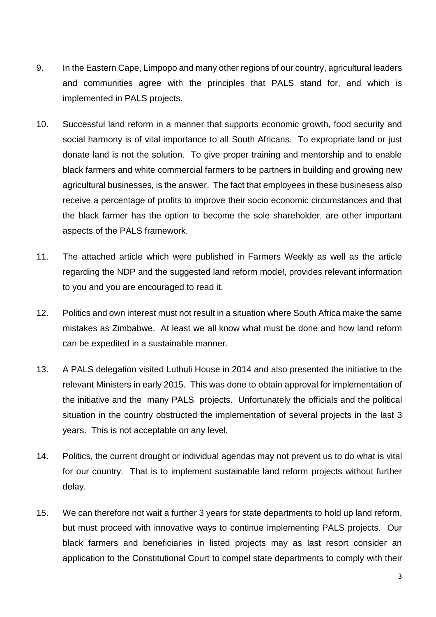- 9. In the Eastern Cape, Limpopo and many other regions of our country, agricultural leaders and communities agree with the principles that PALS stand for, and which is implemented in PALS projects.
- 10. Successful land reform in a manner that supports economic growth, food security and social harmony is of vital importance to all South Africans. To expropriate land or just donate land is not the solution. To give proper training and mentorship and to enable black farmers and white commercial farmers to be partners in building and growing new agricultural businesses, is the answer. The fact that employees in these businesess also receive a percentage of profits to improve their socio economic circumstances and that the black farmer has the option to become the sole shareholder, are other important aspects of the PALS framework.
- 11. The attached article which were published in Farmers Weekly as well as the article regarding the NDP and the suggested land reform model, provides relevant information to you and you are encouraged to read it.
- 12. Politics and own interest must not result in a situation where South Africa make the same mistakes as Zimbabwe. At least we all know what must be done and how land reform can be expedited in a sustainable manner.
- 13. A PALS delegation visited Luthuli House in 2014 and also presented the initiative to the relevant Ministers in early 2015. This was done to obtain approval for implementation of the initiative and the many PALS projects. Unfortunately the officials and the political situation in the country obstructed the implementation of several projects in the last 3 years. This is not acceptable on any level.
- 14. Politics, the current drought or individual agendas may not prevent us to do what is vital for our country. That is to implement sustainable land reform projects without further delay.
- 15. We can therefore not wait a further 3 years for state departments to hold up land reform, but must proceed with innovative ways to continue implementing PALS projects. Our black farmers and beneficiaries in listed projects may as last resort consider an application to the Constitutional Court to compel state departments to comply with their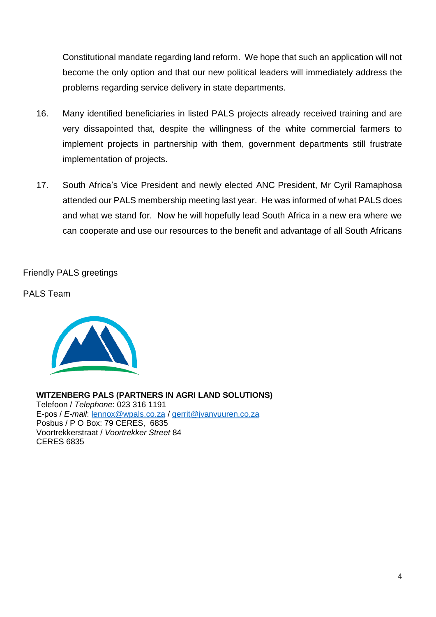Constitutional mandate regarding land reform. We hope that such an application will not become the only option and that our new political leaders will immediately address the problems regarding service delivery in state departments.

- 16. Many identified beneficiaries in listed PALS projects already received training and are very dissapointed that, despite the willingness of the white commercial farmers to implement projects in partnership with them, government departments still frustrate implementation of projects.
- 17. South Africa's Vice President and newly elected ANC President, Mr Cyril Ramaphosa attended our PALS membership meeting last year. He was informed of what PALS does and what we stand for. Now he will hopefully lead South Africa in a new era where we can cooperate and use our resources to the benefit and advantage of all South Africans

Friendly PALS greetings

PALS Team



**WITZENBERG PALS (PARTNERS IN AGRI LAND SOLUTIONS)** Telefoon / *Telephone*: 023 316 1191 E-pos / *E-mail*: [lennox@wpals.co.za](mailto:lennox@wpals.co.za) / [gerrit@jvanvuuren.co.za](mailto:gerrit@jvanvuuren.co.za) Posbus / P O Box: 79 CERES, 6835 Voortrekkerstraat / *Voortrekker Street* 84 CERES 6835